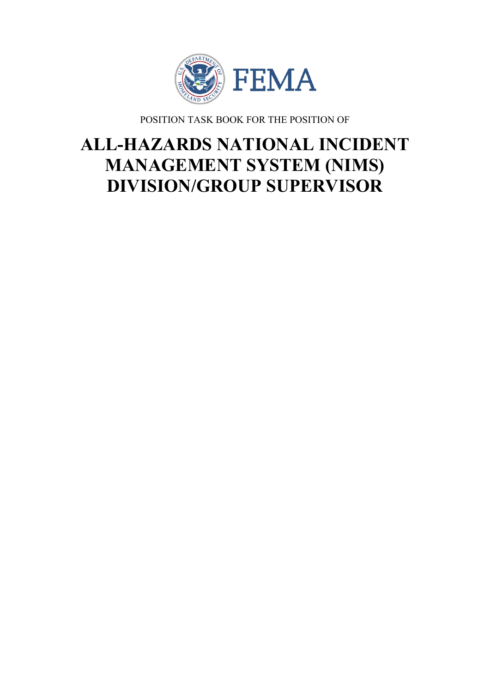

POSITION TASK BOOK FOR THE POSITION OF

# **ALL-HAZARDS NATIONAL INCIDENT MANAGEMENT SYSTEM (NIMS) DIVISION/GROUP SUPERVISOR**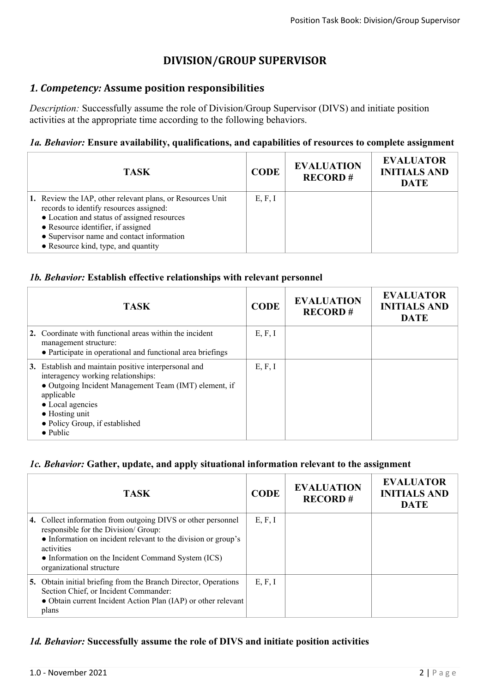# **DIVISION/GROUP SUPERVISOR**

## *1. Competency:* **Assume position responsibilities**

*Description:* Successfully assume the role of Division/Group Supervisor (DIVS) and initiate position activities at the appropriate time according to the following behaviors.

#### *1a. Behavior:* **Ensure availability, qualifications, and capabilities of resources to complete assignment**

| <b>TASK</b>                                                                                                                                                                                                                                                                    | <b>CODE</b> | <b>EVALUATION</b><br><b>RECORD#</b> | <b>EVALUATOR</b><br><b>INITIALS AND</b><br><b>DATE</b> |
|--------------------------------------------------------------------------------------------------------------------------------------------------------------------------------------------------------------------------------------------------------------------------------|-------------|-------------------------------------|--------------------------------------------------------|
| 1. Review the IAP, other relevant plans, or Resources Unit<br>records to identify resources assigned:<br>• Location and status of assigned resources<br>• Resource identifier, if assigned<br>• Supervisor name and contact information<br>• Resource kind, type, and quantity | E, F, I     |                                     |                                                        |

#### *1b. Behavior:* **Establish effective relationships with relevant personnel**

|    | <b>TASK</b>                                                                                                                                                                                                                                                        | <b>CODE</b> | <b>EVALUATION</b><br><b>RECORD#</b> | <b>EVALUATOR</b><br><b>INITIALS AND</b><br><b>DATE</b> |
|----|--------------------------------------------------------------------------------------------------------------------------------------------------------------------------------------------------------------------------------------------------------------------|-------------|-------------------------------------|--------------------------------------------------------|
|    | 2. Coordinate with functional areas within the incident<br>management structure:<br>• Participate in operational and functional area briefings                                                                                                                     | E, F, I     |                                     |                                                        |
| 3. | Establish and maintain positive interpersonal and<br>interagency working relationships:<br>• Outgoing Incident Management Team (IMT) element, if<br>applicable<br>• Local agencies<br>$\bullet$ Hosting unit<br>• Policy Group, if established<br>$\bullet$ Public | E, F, I     |                                     |                                                        |

# *1c. Behavior:* **Gather, update, and apply situational information relevant to the assignment**

| <b>TASK</b>                                                                                                                                                                                                                                                          | <b>CODE</b> | <b>EVALUATION</b><br><b>RECORD#</b> | <b>EVALUATOR</b><br><b>INITIALS AND</b><br><b>DATE</b> |
|----------------------------------------------------------------------------------------------------------------------------------------------------------------------------------------------------------------------------------------------------------------------|-------------|-------------------------------------|--------------------------------------------------------|
| 4. Collect information from outgoing DIVS or other personnel<br>responsible for the Division/Group:<br>• Information on incident relevant to the division or group's<br>activities<br>• Information on the Incident Command System (ICS)<br>organizational structure | E, F, I     |                                     |                                                        |
| 5. Obtain initial briefing from the Branch Director, Operations<br>Section Chief, or Incident Commander:<br>• Obtain current Incident Action Plan (IAP) or other relevant<br>plans                                                                                   | E, F, I     |                                     |                                                        |

# *1d. Behavior:* **Successfully assume the role of DIVS and initiate position activities**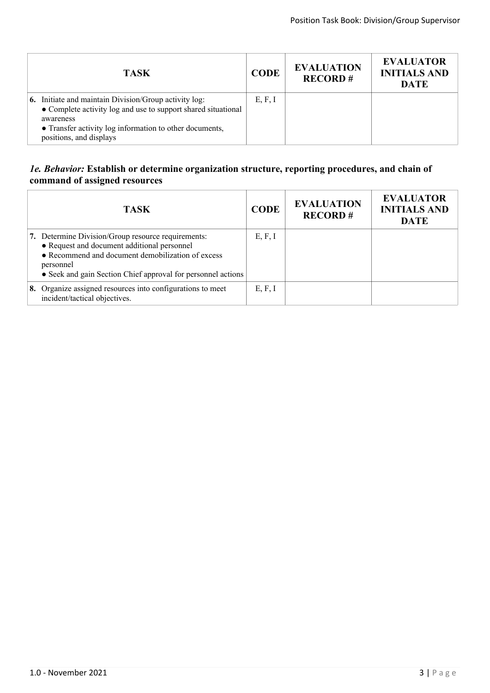| <b>TASK</b>                                                                                                                                                                                                                      | <b>CODE</b> | <b>EVALUATION</b><br><b>RECORD#</b> | <b>EVALUATOR</b><br><b>INITIALS AND</b><br><b>DATE</b> |
|----------------------------------------------------------------------------------------------------------------------------------------------------------------------------------------------------------------------------------|-------------|-------------------------------------|--------------------------------------------------------|
| <b>6.</b> Initiate and maintain Division/Group activity log:<br>• Complete activity log and use to support shared situational<br>awareness<br>• Transfer activity log information to other documents,<br>positions, and displays | E, F, I     |                                     |                                                        |

## *1e. Behavior:* **Establish or determine organization structure, reporting procedures, and chain of command of assigned resources**

| <b>TASK</b>                                                                                                                                                                                                                         | <b>CODE</b> | <b>EVALUATION</b><br><b>RECORD#</b> | <b>EVALUATOR</b><br><b>INITIALS AND</b><br><b>DATE</b> |
|-------------------------------------------------------------------------------------------------------------------------------------------------------------------------------------------------------------------------------------|-------------|-------------------------------------|--------------------------------------------------------|
| 7. Determine Division/Group resource requirements:<br>• Request and document additional personnel<br>• Recommend and document demobilization of excess<br>personnel<br>• Seek and gain Section Chief approval for personnel actions | E, F, I     |                                     |                                                        |
| 8. Organize assigned resources into configurations to meet<br>incident/tactical objectives.                                                                                                                                         | E, F, I     |                                     |                                                        |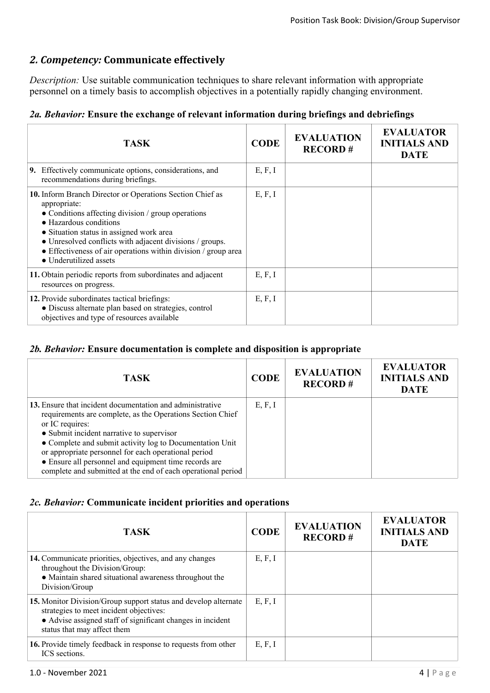# *2. Competency:* **Communicate effectively**

*Description:* Use suitable communication techniques to share relevant information with appropriate personnel on a timely basis to accomplish objectives in a potentially rapidly changing environment.

|  |  |  |  |  |  | 2a. Behavior: Ensure the exchange of relevant information during briefings and debriefings |  |  |  |  |
|--|--|--|--|--|--|--------------------------------------------------------------------------------------------|--|--|--|--|
|--|--|--|--|--|--|--------------------------------------------------------------------------------------------|--|--|--|--|

| <b>TASK</b>                                                                                                                                                                                                                                                                                                                                                   | <b>CODE</b> | <b>EVALUATION</b><br><b>RECORD#</b> | <b>EVALUATOR</b><br><b>INITIALS AND</b><br><b>DATE</b> |
|---------------------------------------------------------------------------------------------------------------------------------------------------------------------------------------------------------------------------------------------------------------------------------------------------------------------------------------------------------------|-------------|-------------------------------------|--------------------------------------------------------|
| 9. Effectively communicate options, considerations, and<br>recommendations during briefings.                                                                                                                                                                                                                                                                  | E, F, I     |                                     |                                                        |
| 10. Inform Branch Director or Operations Section Chief as<br>appropriate:<br>• Conditions affecting division / group operations<br>• Hazardous conditions<br>• Situation status in assigned work area<br>• Unresolved conflicts with adjacent divisions / groups.<br>• Effectiveness of air operations within division / group area<br>• Underutilized assets | E, F, I     |                                     |                                                        |
| 11. Obtain periodic reports from subordinates and adjacent<br>resources on progress.                                                                                                                                                                                                                                                                          | E, F, I     |                                     |                                                        |
| 12. Provide subordinates tactical briefings:<br>· Discuss alternate plan based on strategies, control<br>objectives and type of resources available                                                                                                                                                                                                           | E, F, I     |                                     |                                                        |

## *2b. Behavior:* **Ensure documentation is complete and disposition is appropriate**

| <b>TASK</b>                                                                                                                                                                                                                                                                                                                                                                                                                          | <b>CODE</b> | <b>EVALUATION</b><br><b>RECORD#</b> | <b>EVALUATOR</b><br><b>INITIALS AND</b><br><b>DATE</b> |
|--------------------------------------------------------------------------------------------------------------------------------------------------------------------------------------------------------------------------------------------------------------------------------------------------------------------------------------------------------------------------------------------------------------------------------------|-------------|-------------------------------------|--------------------------------------------------------|
| 13. Ensure that incident documentation and administrative<br>requirements are complete, as the Operations Section Chief<br>or IC requires:<br>• Submit incident narrative to supervisor<br>• Complete and submit activity log to Documentation Unit<br>or appropriate personnel for each operational period<br>• Ensure all personnel and equipment time records are<br>complete and submitted at the end of each operational period | E, F, I     |                                     |                                                        |

# *2c. Behavior:* **Communicate incident priorities and operations**

| <b>TASK</b>                                                                                                                                                                                             | <b>CODE</b> | <b>EVALUATION</b><br><b>RECORD#</b> | <b>EVALUATOR</b><br><b>INITIALS AND</b><br><b>DATE</b> |
|---------------------------------------------------------------------------------------------------------------------------------------------------------------------------------------------------------|-------------|-------------------------------------|--------------------------------------------------------|
| 14. Communicate priorities, objectives, and any changes<br>throughout the Division/Group:<br>• Maintain shared situational awareness throughout the<br>Division/Group                                   | E, F, I     |                                     |                                                        |
| 15. Monitor Division/Group support status and develop alternate<br>strategies to meet incident objectives:<br>• Advise assigned staff of significant changes in incident<br>status that may affect them | E, F, I     |                                     |                                                        |
| 16. Provide timely feedback in response to requests from other<br>ICS sections.                                                                                                                         | E, F, I     |                                     |                                                        |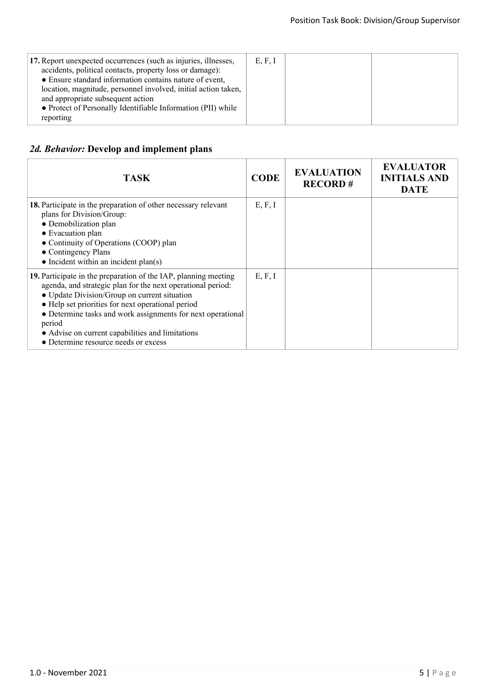| 17. Report unexpected occurrences (such as injuries, illnesses,<br>accidents, political contacts, property loss or damage):<br>• Ensure standard information contains nature of event,<br>location, magnitude, personnel involved, initial action taken,<br>and appropriate subsequent action<br>• Protect of Personally Identifiable Information (PII) while<br>reporting | E, F, I |  |  |
|----------------------------------------------------------------------------------------------------------------------------------------------------------------------------------------------------------------------------------------------------------------------------------------------------------------------------------------------------------------------------|---------|--|--|
|----------------------------------------------------------------------------------------------------------------------------------------------------------------------------------------------------------------------------------------------------------------------------------------------------------------------------------------------------------------------------|---------|--|--|

## *2d. Behavior:* **Develop and implement plans**

| <b>TASK</b>                                                                                                                                                                                                                                                                                                                                                                                              | <b>CODE</b> | <b>EVALUATION</b><br><b>RECORD#</b> | <b>EVALUATOR</b><br><b>INITIALS AND</b><br><b>DATE</b> |
|----------------------------------------------------------------------------------------------------------------------------------------------------------------------------------------------------------------------------------------------------------------------------------------------------------------------------------------------------------------------------------------------------------|-------------|-------------------------------------|--------------------------------------------------------|
| 18. Participate in the preparation of other necessary relevant<br>plans for Division/Group:<br>• Demobilization plan<br>• Evacuation plan<br>• Continuity of Operations (COOP) plan<br>• Contingency Plans<br>$\bullet$ Incident within an incident plan(s)                                                                                                                                              | E, F, I     |                                     |                                                        |
| 19. Participate in the preparation of the IAP, planning meeting<br>agenda, and strategic plan for the next operational period:<br>• Update Division/Group on current situation<br>• Help set priorities for next operational period<br>• Determine tasks and work assignments for next operational<br>period<br>• Advise on current capabilities and limitations<br>• Determine resource needs or excess | E, F, I     |                                     |                                                        |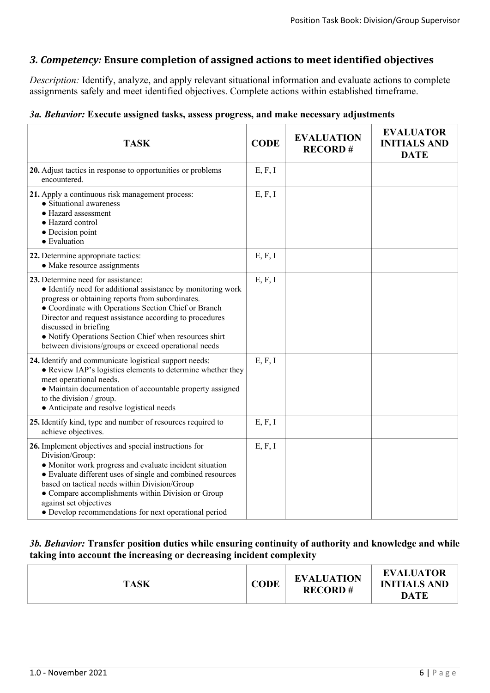## *3. Competency:* **Ensure completion of assigned actions to meet identified objectives**

*Description:* Identify, analyze, and apply relevant situational information and evaluate actions to complete assignments safely and meet identified objectives. Complete actions within established timeframe.

#### *3a. Behavior:* **Execute assigned tasks, assess progress, and make necessary adjustments**

| <b>TASK</b>                                                                                                                                                                                                                                                                                                                                                                                                          | <b>CODE</b> | <b>EVALUATION</b><br><b>RECORD#</b> | <b>EVALUATOR</b><br><b>INITIALS AND</b><br><b>DATE</b> |
|----------------------------------------------------------------------------------------------------------------------------------------------------------------------------------------------------------------------------------------------------------------------------------------------------------------------------------------------------------------------------------------------------------------------|-------------|-------------------------------------|--------------------------------------------------------|
| 20. Adjust tactics in response to opportunities or problems<br>encountered.                                                                                                                                                                                                                                                                                                                                          | E, F, I     |                                     |                                                        |
| 21. Apply a continuous risk management process:<br>• Situational awareness<br>• Hazard assessment<br>· Hazard control<br>• Decision point<br>• Evaluation                                                                                                                                                                                                                                                            | E, F, I     |                                     |                                                        |
| 22. Determine appropriate tactics:<br>• Make resource assignments                                                                                                                                                                                                                                                                                                                                                    | E, F, I     |                                     |                                                        |
| 23. Determine need for assistance:<br>• Identify need for additional assistance by monitoring work<br>progress or obtaining reports from subordinates.<br>• Coordinate with Operations Section Chief or Branch<br>Director and request assistance according to procedures<br>discussed in briefing<br>· Notify Operations Section Chief when resources shirt<br>between divisions/groups or exceed operational needs | E, F, I     |                                     |                                                        |
| 24. Identify and communicate logistical support needs:<br>• Review IAP's logistics elements to determine whether they<br>meet operational needs.<br>• Maintain documentation of accountable property assigned<br>to the division / group.<br>• Anticipate and resolve logistical needs                                                                                                                               | E, F, I     |                                     |                                                        |
| 25. Identify kind, type and number of resources required to<br>achieve objectives.                                                                                                                                                                                                                                                                                                                                   | E, F, I     |                                     |                                                        |
| 26. Implement objectives and special instructions for<br>Division/Group:<br>• Monitor work progress and evaluate incident situation<br>• Evaluate different uses of single and combined resources<br>based on tactical needs within Division/Group<br>• Compare accomplishments within Division or Group<br>against set objectives<br>• Develop recommendations for next operational period                          | E, F, I     |                                     |                                                        |

### *3b. Behavior:* **Transfer position duties while ensuring continuity of authority and knowledge and while taking into account the increasing or decreasing incident complexity**

| <b>TASK</b> | <b>CODE</b> | <b>EVALUATION</b><br><b>RECORD#</b> | <b>EVALUATOR</b><br><b>INITIALS AND</b><br><b>DATE</b> |
|-------------|-------------|-------------------------------------|--------------------------------------------------------|
|             |             |                                     |                                                        |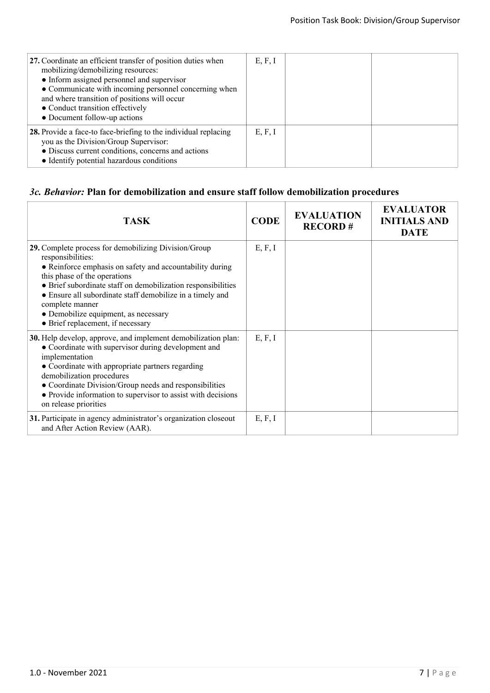| 27. Coordinate an efficient transfer of position duties when<br>mobilizing/demobilizing resources:<br>• Inform assigned personnel and supervisor<br>• Communicate with incoming personnel concerning when<br>and where transition of positions will occur<br>• Conduct transition effectively<br>• Document follow-up actions | E, F, I |  |
|-------------------------------------------------------------------------------------------------------------------------------------------------------------------------------------------------------------------------------------------------------------------------------------------------------------------------------|---------|--|
| 28. Provide a face-to face-briefing to the individual replacing<br>you as the Division/Group Supervisor:<br>• Discuss current conditions, concerns and actions<br>• Identify potential hazardous conditions                                                                                                                   | E, F, I |  |

# *3c. Behavior:* **Plan for demobilization and ensure staff follow demobilization procedures**

| <b>TASK</b>                                                                                                                                                                                                                                                                                                                                                                                        | <b>CODE</b> | <b>EVALUATION</b><br><b>RECORD#</b> | <b>EVALUATOR</b><br><b>INITIALS AND</b><br><b>DATE</b> |
|----------------------------------------------------------------------------------------------------------------------------------------------------------------------------------------------------------------------------------------------------------------------------------------------------------------------------------------------------------------------------------------------------|-------------|-------------------------------------|--------------------------------------------------------|
| 29. Complete process for demobilizing Division/Group<br>responsibilities:<br>• Reinforce emphasis on safety and accountability during<br>this phase of the operations<br>• Brief subordinate staff on demobilization responsibilities<br>• Ensure all subordinate staff demobilize in a timely and<br>complete manner<br>• Demobilize equipment, as necessary<br>• Brief replacement, if necessary | E, F, I     |                                     |                                                        |
| 30. Help develop, approve, and implement demobilization plan:<br>• Coordinate with supervisor during development and<br>implementation<br>• Coordinate with appropriate partners regarding<br>demobilization procedures<br>• Coordinate Division/Group needs and responsibilities<br>• Provide information to supervisor to assist with decisions<br>on release priorities                         | E, F, I     |                                     |                                                        |
| 31. Participate in agency administrator's organization closeout<br>and After Action Review (AAR).                                                                                                                                                                                                                                                                                                  | E, F, I     |                                     |                                                        |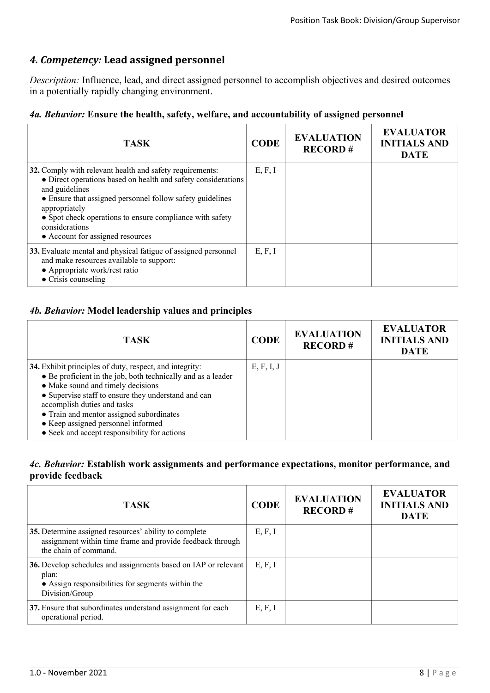# *4. Competency:* **Lead assigned personnel**

*Description:* Influence, lead, and direct assigned personnel to accomplish objectives and desired outcomes in a potentially rapidly changing environment.

### *4a. Behavior:* **Ensure the health, safety, welfare, and accountability of assigned personnel**

| <b>TASK</b>                                                                                                                                                                                                                                                                                                                                 | <b>CODE</b> | <b>EVALUATION</b><br><b>RECORD#</b> | <b>EVALUATOR</b><br><b>INITIALS AND</b><br><b>DATE</b> |
|---------------------------------------------------------------------------------------------------------------------------------------------------------------------------------------------------------------------------------------------------------------------------------------------------------------------------------------------|-------------|-------------------------------------|--------------------------------------------------------|
| 32. Comply with relevant health and safety requirements:<br>• Direct operations based on health and safety considerations<br>and guidelines<br>• Ensure that assigned personnel follow safety guidelines<br>appropriately<br>• Spot check operations to ensure compliance with safety<br>considerations<br>• Account for assigned resources | E, F, I     |                                     |                                                        |
| 33. Evaluate mental and physical fatigue of assigned personnel<br>and make resources available to support:<br>• Appropriate work/rest ratio<br>$\bullet$ Crisis counseling                                                                                                                                                                  | E, F, I     |                                     |                                                        |

### *4b. Behavior:* **Model leadership values and principles**

| <b>TASK</b>                                                                                                                                                                                                                                                                                                                                                                          | <b>CODE</b> | <b>EVALUATION</b><br><b>RECORD#</b> | <b>EVALUATOR</b><br><b>INITIALS AND</b><br><b>DATE</b> |
|--------------------------------------------------------------------------------------------------------------------------------------------------------------------------------------------------------------------------------------------------------------------------------------------------------------------------------------------------------------------------------------|-------------|-------------------------------------|--------------------------------------------------------|
| 34. Exhibit principles of duty, respect, and integrity:<br>• Be proficient in the job, both technically and as a leader<br>• Make sound and timely decisions<br>• Supervise staff to ensure they understand and can<br>accomplish duties and tasks<br>• Train and mentor assigned subordinates<br>• Keep assigned personnel informed<br>• Seek and accept responsibility for actions | E, F, I, J  |                                     |                                                        |

#### *4c. Behavior:* **Establish work assignments and performance expectations, monitor performance, and provide feedback**

| <b>TASK</b>                                                                                                                                    | <b>CODE</b> | <b>EVALUATION</b><br><b>RECORD#</b> | <b>EVALUATOR</b><br><b>INITIALS AND</b><br><b>DATE</b> |
|------------------------------------------------------------------------------------------------------------------------------------------------|-------------|-------------------------------------|--------------------------------------------------------|
| 35. Determine assigned resources' ability to complete<br>assignment within time frame and provide feedback through<br>the chain of command.    | E, F, I     |                                     |                                                        |
| 36. Develop schedules and assignments based on IAP or relevant<br>plan:<br>• Assign responsibilities for segments within the<br>Division/Group | E, F, I     |                                     |                                                        |
| 37. Ensure that subordinates understand assignment for each<br>operational period.                                                             | E, F, I     |                                     |                                                        |